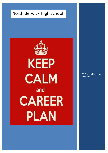# North Berwick High School



S6 Careers Resource June 2020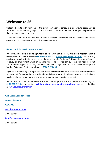## **Welcome to S6**

Welcome back to sixth year. Since this is your last year at school, it's essential to begin **now** to think about what you are going to do in the future. This book contains career planning resources that everyone can use this year.

As the school's Careers Advisers, we are here to give you information and advice about the options open to you, so please get in touch if you need our help.

#### **Help from Skills Development Scotland**

If you would like help in deciding what to do when you leave school, you should register on Skills Development Scotland's website **My World of Work** at **www.myworldofwork.co.uk**. As a starting point, use the online tools and quizzes on the website under Exploring Options to help identify areas of study or employment which might suit you. The website can also give you lots of useful information on applications, CVs, interviews, jobs and college. You can also call Skills Development Scotland's Contact Centre for advice on **0800 917 8000.**

If you have used the **My Strengths** tool and accessed **My World of Work** website and other resources to research information, but are still undecided about what to do, please speak to your Guidance teacher, who can refer you to one of us for a face to face interview in school.

We can also be contacted by phone at the Skills Development Scotland Centre in Musselburgh on **0131 665 3120** or by email at **[mick.burns@sds.co.uk](mailto:mick.burns@sds.co.uk) [jennifer.jones@sds.co.uk](mailto:jennifer.jones@sds.co.uk)** or use the blog at [www.edubuzz.org/careers](http://www.edubuzz.org/careers)

**Mick Burns/Jennifer Jones Careers Advisers May 2020 [mick.burns@sds.co.uk](mailto:mick.burns@sds.co.uk)** 07887 831454 **[jennifer.jones@sds.co.uk](mailto:jennifer.jones@sds.co.uk)** 07887 831389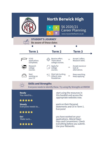|                                             | <b>North Berwick High</b><br>U<br>48<br><b>STUDENT'S JOURNEY</b><br>Be aware of these dates | S6 2020/21<br><b>Career Planning</b><br>www.myworldofwork.co.uk                          |
|---------------------------------------------|---------------------------------------------------------------------------------------------|------------------------------------------------------------------------------------------|
|                                             |                                                                                             |                                                                                          |
| <b>Term 1</b>                               | <b>Term 2</b>                                                                               | Term <sub>3</sub>                                                                        |
| <b>UCAS</b><br>applications<br>completed.   | Receive offers.<br>Think about<br>college courses.                                          | Accept 2 offers.<br>aik<br>Research SAAS.                                                |
| Research<br>college<br>courses.             | Apply for<br>college<br>courses.                                                            | Accept course or<br>ail<br>look at<br>alternatives.                                      |
| Start<br>working on<br>your CV.             | ☆ Start job hunting.<br>Attend Jobs<br>Roadshow.                                            | Keep searching.<br>$\Delta m$<br>Keep applying.                                          |
| <b>Skills and Strengths</b>                 | Everyone needs to identify these. Try using My Strengths at MWOW                            |                                                                                          |
| <b>Ready</b><br>You need to<br>*****        |                                                                                             | start using the resources in<br>this booklet and access the<br>appropriate websites now. |
| <b>Steady</b><br>Everyone needs to<br>***** | Everyone!                                                                                   | work on their Personal<br>Statements and CV in Term 1.                                   |
| Go!<br>Make sure                            |                                                                                             | you have worked on your<br>applications. Attend Open<br>Days and Conventions. Check      |
| *****                                       | Use your Networks.                                                                          | everything before you submit.                                                            |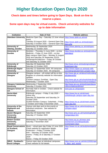# **Higher Education Open Days 2020**

### **Check dates and times before going to Open Days. Book on-line to reserve a place.**

### **Some open days may be virtual events. Check university websites for up to date information**

| <b>Institution</b>              | <b>Date of Visit</b>                                                                                                                                                                                         | <b>Website address</b>                    |  |
|---------------------------------|--------------------------------------------------------------------------------------------------------------------------------------------------------------------------------------------------------------|-------------------------------------------|--|
| <b>Aberdeen University</b>      | Medicine Open Day - Saturday 13 June virtual https://www.abdn.ac.uk/vod                                                                                                                                      |                                           |  |
|                                 | event.<br>Tuesday 25 August 2020 - General Open Day                                                                                                                                                          | https://www.abdn.ac.uk/study/open-        |  |
|                                 | Saturday 3 October 2020 - General Open Day                                                                                                                                                                   | days.php                                  |  |
| <b>University of</b>            | Wednesday 30 September 2020                                                                                                                                                                                  | https://www.abertay.ac.uk/visit/open-     |  |
| Abertay, Dundee                 | Saturday 31 October 2020                                                                                                                                                                                     | days/                                     |  |
| <b>University of</b>            | Dentistry - Thursday 11 June 2020 - on-line                                                                                                                                                                  | https://www.dundee.ac.uk/study/visitus/   |  |
| <b>Dundee</b>                   | Medicine - Friday 12 June 2020 - on-line<br>Main campus Open Days - Monday 31 August<br>2020 and Saturday 26 September 20120<br>Art/Design/Architecture - Friday 30 October<br>and Saturday 31 October 2020. | opendays/                                 |  |
| University of                   | Saturday 26 September 2020                                                                                                                                                                                   | http://www.ed.ac.uk/studying/undergra     |  |
| Edinburgh                       | Saturday 10 October 2020                                                                                                                                                                                     | duate/open-day                            |  |
| <b>Edinburgh Napier</b>         | Saturday 12 September 2020. All campuses.                                                                                                                                                                    | https://www.napier.ac.uk/study-with-      |  |
| <b>University</b>               | Saturday 10 October 2020. All campuses.                                                                                                                                                                      | us/undergraduate/meet-us/open-days        |  |
| <b>University of</b>            | Glasgow campus - all contact will be on-line.                                                                                                                                                                | http://www.gla.ac.uk/about/visit/undergr  |  |
| Glasgow                         | Register on university website for information<br>updates.                                                                                                                                                   | aduateevents/                             |  |
|                                 | Crichton campus, Dumfries. Open Day                                                                                                                                                                          | http://www.gla.ac.uk/schools/interdiscip  |  |
|                                 | Wednesday 7 October 2020                                                                                                                                                                                     | linary/studyindumfries/visitus/visitdays/ |  |
| <b>Glasgow Caledonian</b>       | Wednesday 2 September 2020                                                                                                                                                                                   | http://www.gcu.ac.uk/study/opendaysa      |  |
| <b>University</b>               | Saturday 3 October 2020                                                                                                                                                                                      | ndtours/datesandtimes/                    |  |
| <b>Glasgow School of</b><br>Art | Normally held in October. Check website for<br>information.                                                                                                                                                  | www.gsa.ac.uk/gsaopen                     |  |
| <b>Heriot-Watt</b>              | Edinburgh campus - Friday 3 July 2020 -                                                                                                                                                                      | https://www.hw.ac.uk/uk/meet-             |  |
| <b>University</b>               | online only.                                                                                                                                                                                                 | us/edinburgh-campus-open-day.htm          |  |
|                                 | Saturday 26 September and Saturday 24<br>October 2020.                                                                                                                                                       |                                           |  |
|                                 | Scottish Borders Campus, Galashiels - Friday                                                                                                                                                                 | https://www.hw.ac.uk/uk/meet-us/sbc-      |  |
|                                 | 2 October and Friday 6 November 2020.                                                                                                                                                                        | open-day.htm                              |  |
| University of the               | Various visit days and on-line events at                                                                                                                                                                     | https://www.uhi.ac.uk/en/studying-at-     |  |
| <b>Highlands and</b>            | individual campuses. See website for                                                                                                                                                                         | uhi/open-days/                            |  |
| <b>Islands</b>                  | information.                                                                                                                                                                                                 |                                           |  |
| <b>Queen Margaret</b>           | Saturday 26 September 2020                                                                                                                                                                                   | http://www.qmu.ac.uk/marketing/bulleti    |  |
| University,<br>Edinburgh        | Saturday 17 October 2020                                                                                                                                                                                     | ns/opendays.htm                           |  |
| <b>Robert Gordon</b>            | Wednesday 19 September 2020                                                                                                                                                                                  | http://www.rgu.ac.uk/news-and-            |  |
| University,                     | Saturday 7 November 2020                                                                                                                                                                                     | events/visit-us/undergraduate-            |  |
| Aberdeen                        |                                                                                                                                                                                                              | events/open-days                          |  |
| <b>Royal Conservatoire</b>      | Music - virtual open day Friday 12 June 2020.                                                                                                                                                                | https://www.rcs.ac.uk/studyhere/opend     |  |
| of Scotland,                    | Check website for registration details.                                                                                                                                                                      | ays/                                      |  |
| Glasgow                         | Production - Friday 2 October 2020                                                                                                                                                                           |                                           |  |
|                                 | Film - Saturday 10 October 2020<br>Drama - Friday 16 & Saturday 17 October                                                                                                                                   |                                           |  |
|                                 | 2020                                                                                                                                                                                                         |                                           |  |
|                                 | Dance - Friday 30 October 2020                                                                                                                                                                               |                                           |  |
| <b>SRUC - Scotland's</b>        | Various open days at individual campuses.                                                                                                                                                                    | https://www.sruc.ac.uk/info/120091/ope    |  |
| <b>Rural Colleges</b>           | Check website for full details.                                                                                                                                                                              | n_days_and_events                         |  |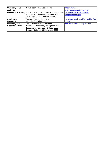| <b>University of St</b> | Virtual open days. Book on-line.                                                                      | https://www.st-                        |
|-------------------------|-------------------------------------------------------------------------------------------------------|----------------------------------------|
| <b>Andrews</b>          |                                                                                                       | andrews.ac.uk/visiting/online/         |
|                         | University of Stirling Virtual open day sessions on Thursday 4 June, http://www.stir.ac.uk/visit-the- |                                        |
|                         | Saturday 19 September, Saturday 24 October                                                            | campus/open-days/                      |
|                         | 2020. Sign up on university website.                                                                  |                                        |
| <b>Strathclyde</b>      | Tuesday 1 September 2020                                                                              | http://www.strath.ac.uk/studywithus/op |
| University              | Saturday 3 October 2020                                                                               | enday/                                 |
| University of the       | Ayr - Wednesday 30 September 2020                                                                     | http://www.uws.ac.uk/opendays/         |
| <b>West of Scotland</b> | Dumfries - Wednesday 23 September 2020                                                                |                                        |
|                         | Lanarkshire - Saturday 3 October 2020                                                                 |                                        |
|                         | Paisley - Saturday 19 September 2020                                                                  |                                        |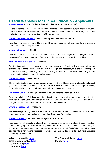# **Useful Websites for Higher Education Applicants**

#### **[www.ucas.com](http://www.ucas.com/) – UCAS (Universities and Colleges Admissions Service)**

Details of degree courses throughout the UK. Includes course search by subject and/or institution, course profiles, university/college information, student finance. Also includes Apply, the on-line application system used by applicants to UK universities.

#### **[www.myworldofwork.co.uk](http://www.myworldofwork.co.uk/)** – **Skills Development Scotland's website**

Provides information on Higher National and Degree courses as well advice on how to choose a course and make your application.

#### **[www.planitplus.net](http://www.planitplus.net/) - PlanIT**

Contains information on all full and part time courses at Scottish colleges including Higher National Certificates/Diplomas, along with information on degree courses at Scottish universities.

#### **[http://unistats.direct.gov.uk](http://unistats.direct.gov.uk/) – Unistats**

Detailed information on the going rate for entry to courses. Also includes a survey of current students' views of their course, including how it is taught and assessed, level of academic support provided, availability of learning resources including libraries and IT facilities. Data on graduate employment destinations for individual courses.

#### **[www.push.co.uk](http://www.push.co.uk/) – PUSH Online**

The ultimate Guide to student life, university and everything! Researched by students and recent graduates. Includes brief university profiles, university links to student unions/newspaper websites, information on how to apply, prices of beer, a jargon buster and lots more.

#### **[www.elrah.ac.uk](http://www.elrah.ac.uk/) – Edinburgh, Lothians, Fife and Borders Articulation Hub**

Designed to help HNC/HND college students with progression on to degree courses at university. This site provides useful information for school leavers on links from HNC/D courses at local colleges to related courses at universities in south east Scotland.

#### **[www.prospects.ac.uk](http://www.prospects.ac.uk/) – Prospects**

The essential guide to graduate careers, jobs and postgraduate study in the UK. Gives information about employment opportunities in its 'What do Graduates Do' section.

#### **[www.saas.gov.uk](http://www.saas.gov.uk/) – Student Awards Agency for Scotland**

Information on all aspects of student funding including bursaries and student loans. Scottish students studying in Scotland do not pay tuition fees for their courses. Some students may be eligible for a non-repayable bursary depending on the level of their family's income. All students can apply for a non income assessed repayable loan. Look at this site to find out more about the cost of Higher Education.

**Which University [here](http://university.which.co.uk/) Best Course for Me [here](http://www.bestcourse4me.com/) Go Think Big [here](http://www.gothinkbig.co.uk/tools/careers-infographics) Studential [here](http://www.studential.com/)**

**The Student Room [here](http://www.thestudentroom.co.uk/) Icould [here](http://icould.com/)**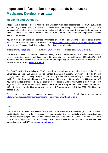# **Important information for applicants to courses in Medicine, Dentistry or Law**

### **Medicine and Dentistry**

All applicants to degree courses in **Medicine** and **Dentistry** must sit an aptitude test. The **UCAT** (UK Clinical Aptitude Test) is being used by all Scottish universities (and the majority of those outside Scotland). This is an aptitude test, which does not draw on any particular body of knowledge that a candidate can learn in advance. However, you should familiarize yourself with the format of the test and do the practice questions on the UCAT website.

You must register on-line to take the test. Information on test dates and when to register is being reviewed by UCAT, because of the Covid 19 restrictions. Go t[o https://www.ucat.ac.uk/ucat/registration-booking/covid-](https://www.ucat.ac.uk/ucat/registration-booking/covid-19/)[19/](https://www.ucat.ac.uk/ucat/registration-booking/covid-19/) for details. You can also follow the latest information on social media  $-$ 

**Instagram** [@ucatofficial](https://www.instagram.com/ucatofficial/) **Twitter** [@UCATofficial](https://twitter.com/UCATofficial) **Facebook** [@UCATofficial](https://www.facebook.com/UCATofficial).

There is a test centre in Edinburgh.The cost of taking the test varies depending on your test date and hasn't yet been advertised because test dates have still to be confirmed. It ranged between £65 and £87 in 2019. Bursaries may be available to cover the cost of the test depending on parental income. Check the UCAT website for more details. **[www.ucat.ac.uk.](http://www.ucat.ac.uk/)**

The **BMAT** (BioMedical Admissions Test) is used by a small number of universities including Oxford, Cambridge, Brighton and Sussex Medical School, Lancaster University, University of Leeds, Imperial College, London and University College, London for entry to **Medicine,** by University of Leeds for **Dentistry** and by Oxford for **Biomedical Sciences**. Test sessions will be held on **5 September** and **4 November 2020**. You can sit the test only once. If you are applying for Medicine at Oxford, you must take the November test. Registration for the **September** test is between **22 June** and **9 August 2020**. The September test fee is £85. Registration for the **November** test is between **1 September** and **1 October 2020**. The November test fee is £49.

These dates may change because of Covid 19 restrictions. Check latest information at [https://www.admissionstesting.org/campaigns/coronavirus/.](https://www.admissionstesting.org/campaigns/coronavirus/) **[www.bmat.org.uk.](http://www.bmat.org.uk/)**

### **Law**

The **LNAT** (the Law National Aptitude Test) is used by the **University of Glasgow** (and other institutions outside Scotland) as part of the selection process for applications to all courses in Law, including joint degrees in Law and another subject. The test can be taken between 1 September 2020 and 15 January 2021 (by 15 October 2020 if applying to Oxford University). The cost of the test is £50. Full details of test dates and registration go to the LNAT website **[www.lnat.ac.uk.](http://www.lnat.ac.uk/)**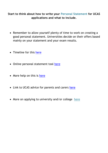### **Start to think about how to write your Personal Statement for UCAS applications and what to include.**

- Remember to allow yourself plenty of time to work on creating a good personal statement. Universities decide on their offers based mainly on your statement and your exam results.
- Timeline for this [here](https://www.ucas.com/advisers/getting-started/application-deadlines)
- Online personal statement tool [here](https://www.ucasdigital.com/widgets/personalstatement/index.html#/splash)
- More help on this is [here](https://www.ucas.com/how-write-ucas-undergraduate-personal-statement)
- Link to UCAS advice for parents and carers [here](https://www.ucas.com/ucas/undergraduate/getting-started/parents-and-guardians/ucas-undergraduate-application-process)
- More on applying to university and/or college [here](https://www.myworldofwork.co.uk/learn-and-train/applying-courses)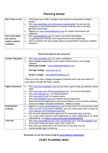### **Planning Ahead**

| Don't have a clue: | $\bullet$ | Think about your skills, strengths and interests as discussed at today's<br>session                                                                                |
|--------------------|-----------|--------------------------------------------------------------------------------------------------------------------------------------------------------------------|
|                    |           | Visit www.planitplus.net/careerzone/careerometer You can use the<br>computers in the school library or at home to do this and it will help<br>generate some ideas. |
|                    |           | Register on www.myworldofwork.co.uk for careers information and<br>resources.                                                                                      |
| Have some ideas    | $\bullet$ | Visit www.planitplus.net for career and course information                                                                                                         |
| but need to        | ٠         | Try getting some relevant work experience or work shadowing.                                                                                                       |
| explore options    | $\bullet$ | Start to research the post-school options outlined below using the available                                                                                       |
| available:         |           | resources.                                                                                                                                                         |
|                    |           |                                                                                                                                                                    |

#### **Post-school options and resources**

| <b>Further Education</b> | Visit www.planitplus.net for course availability                                          |
|--------------------------|-------------------------------------------------------------------------------------------|
|                          | Read college prospectuses in the careers library and/or visit college<br>$\bullet$        |
|                          | websites:                                                                                 |
|                          | Edinburgh College - www.edinburghcollege.ac.uk                                            |
|                          |                                                                                           |
|                          | Oatridge College - www.sruc.ac.uk                                                         |
|                          | Borders College - www.borderscollege.ac.uk                                                |
|                          | There are many other colleges throughout Scotland which you can explore in                |
|                          | more detail through the Planit website                                                    |
|                          |                                                                                           |
| <b>Higher Education</b>  | Visit www.ukcoursefinder.com you can take a quiz to help you identify course<br>$\bullet$ |
|                          | ideas                                                                                     |
|                          | Visit www.ucas.com and www.planitplus.net for course information<br>$\bullet$             |
|                          | Visit www.saas.gov.uk for financial advice                                                |
|                          | Visit www.push.co.uk for student advice                                                   |
|                          | Visit www.prospects.ac.uk for degree course progression                                   |
|                          | Read university prospectuses in the careers library or visit university websites.         |
|                          | Attend the Higher Education Exhibition - details to follow                                |
| Employment/              | Register on www.myworldofwork.co.uk for help with CV's and interview skills<br>$\bullet$  |
| <b>Training</b>          | There are lots of job search websites; you can access some links to these on<br>$\bullet$ |
|                          | www.edubuzz.org/midandeastvacancies                                                       |
|                          | Visit Scottish Apprenticeships here and The Guarantee here and here                       |
|                          | Try to get some relevant work experience or work shadowing or do some<br>$\bullet$        |
|                          | volunteering - try https://www.strive.scot/findvolunteering                               |
| <b>Year Out</b>          | Visit www.yearoutgroup.org www.summerjobs.com and www.gapyear.com<br>$\bullet$            |
|                          | Think about what you hope to gain from a year out.<br>$\bullet$                           |
|                          | Plan what you would like to do at the end of your year out too                            |
|                          | Country guides here to help you                                                           |

**Remember to use the Careers blog at [www.edubuzz.org/careers](http://www.edubuzz.org/careers)**

### **START PLANNING NOW!**